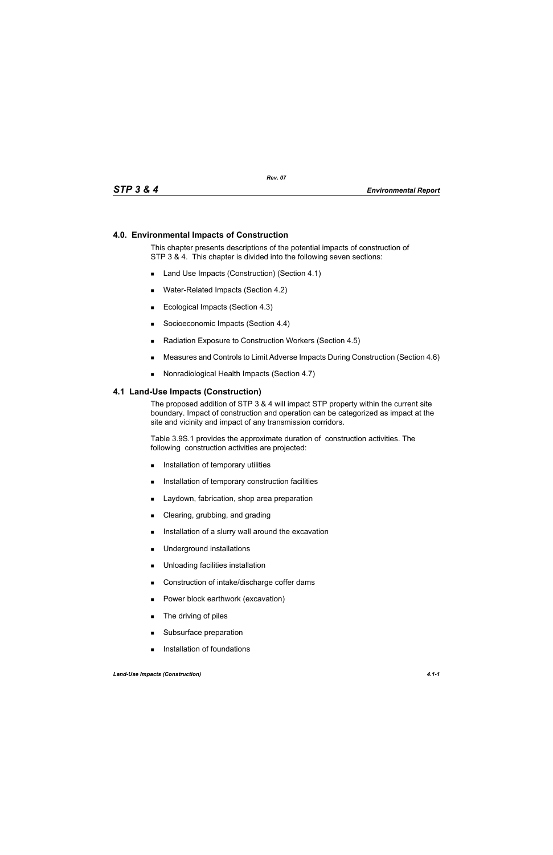### **4.0. Environmental Impacts of Construction**

This chapter presents descriptions of the potential impacts of construction of STP 3 & 4. This chapter is divided into the following seven sections:

- Land Use Impacts (Construction) (Section 4.1)
- Water-Related Impacts (Section 4.2)
- Ecological Impacts (Section 4.3)
- Socioeconomic Impacts (Section 4.4)
- Radiation Exposure to Construction Workers (Section 4.5)
- Measures and Controls to Limit Adverse Impacts During Construction (Section 4.6)
- Nonradiological Health Impacts (Section 4.7)

#### **4.1 Land-Use Impacts (Construction)**

The proposed addition of STP 3 & 4 will impact STP property within the current site boundary. Impact of construction and operation can be categorized as impact at the site and vicinity and impact of any transmission corridors.

Table 3.9S.1 provides the approximate duration of construction activities. The following construction activities are projected:

- **Installation of temporary utilities**
- **Installation of temporary construction facilities**
- **Laydown, fabrication, shop area preparation**
- Clearing, grubbing, and grading
- Installation of a slurry wall around the excavation
- **Underground installations**
- **Unloading facilities installation**
- Construction of intake/discharge coffer dams
- **Power block earthwork (excavation)**
- **The driving of piles**
- Subsurface preparation
- **Installation of foundations**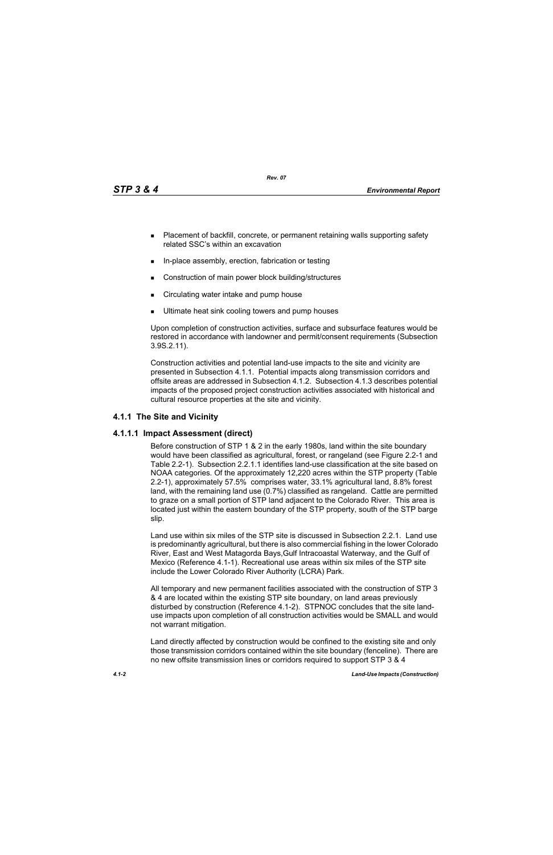*Rev. 07*

- **Placement of backfill, concrete, or permanent retaining walls supporting safety** related SSC's within an excavation
- In-place assembly, erection, fabrication or testing
- Construction of main power block building/structures
- **EXECT** Circulating water intake and pump house
- Ultimate heat sink cooling towers and pump houses

Upon completion of construction activities, surface and subsurface features would be restored in accordance with landowner and permit/consent requirements (Subsection 3.9S.2.11).

Construction activities and potential land-use impacts to the site and vicinity are presented in Subsection 4.1.1. Potential impacts along transmission corridors and offsite areas are addressed in Subsection 4.1.2. Subsection 4.1.3 describes potential impacts of the proposed project construction activities associated with historical and cultural resource properties at the site and vicinity.

# **4.1.1 The Site and Vicinity**

## **4.1.1.1 Impact Assessment (direct)**

Before construction of STP 1 & 2 in the early 1980s, land within the site boundary would have been classified as agricultural, forest, or rangeland (see Figure 2.2-1 and Table 2.2-1). Subsection 2.2.1.1 identifies land-use classification at the site based on NOAA categories. Of the approximately 12,220 acres within the STP property (Table 2.2-1), approximately 57.5% comprises water, 33.1% agricultural land, 8.8% forest land, with the remaining land use (0.7%) classified as rangeland. Cattle are permitted to graze on a small portion of STP land adjacent to the Colorado River. This area is located just within the eastern boundary of the STP property, south of the STP barge slip.

Land use within six miles of the STP site is discussed in Subsection 2.2.1. Land use is predominantly agricultural, but there is also commercial fishing in the lower Colorado River, East and West Matagorda Bays,Gulf Intracoastal Waterway, and the Gulf of Mexico (Reference 4.1-1). Recreational use areas within six miles of the STP site include the Lower Colorado River Authority (LCRA) Park.

All temporary and new permanent facilities associated with the construction of STP 3 & 4 are located within the existing STP site boundary, on land areas previously disturbed by construction (Reference 4.1-2). STPNOC concludes that the site landuse impacts upon completion of all construction activities would be SMALL and would not warrant mitigation.

Land directly affected by construction would be confined to the existing site and only those transmission corridors contained within the site boundary (fenceline). There are no new offsite transmission lines or corridors required to support STP 3 & 4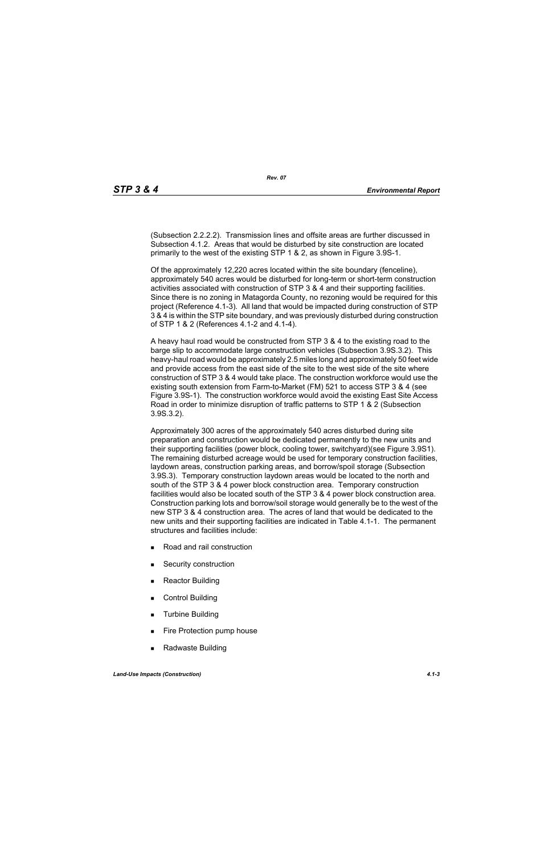(Subsection 2.2.2.2). Transmission lines and offsite areas are further discussed in Subsection 4.1.2. Areas that would be disturbed by site construction are located primarily to the west of the existing STP 1 & 2, as shown in Figure 3.9S-1.

Of the approximately 12,220 acres located within the site boundary (fenceline), approximately 540 acres would be disturbed for long-term or short-term construction activities associated with construction of STP 3 & 4 and their supporting facilities. Since there is no zoning in Matagorda County, no rezoning would be required for this project (Reference 4.1-3). All land that would be impacted during construction of STP 3 & 4 is within the STP site boundary, and was previously disturbed during construction of STP 1 & 2 (References 4.1-2 and 4.1-4).

A heavy haul road would be constructed from STP 3 & 4 to the existing road to the barge slip to accommodate large construction vehicles (Subsection 3.9S.3.2). This heavy-haul road would be approximately 2.5 miles long and approximately 50 feet wide and provide access from the east side of the site to the west side of the site where construction of STP 3 & 4 would take place. The construction workforce would use the existing south extension from Farm-to-Market (FM) 521 to access STP 3 & 4 (see Figure 3.9S-1). The construction workforce would avoid the existing East Site Access Road in order to minimize disruption of traffic patterns to STP 1 & 2 (Subsection 3.9S.3.2).

Approximately 300 acres of the approximately 540 acres disturbed during site preparation and construction would be dedicated permanently to the new units and their supporting facilities (power block, cooling tower, switchyard)(see Figure 3.9S1). The remaining disturbed acreage would be used for temporary construction facilities, laydown areas, construction parking areas, and borrow/spoil storage (Subsection 3.9S.3). Temporary construction laydown areas would be located to the north and south of the STP 3 & 4 power block construction area. Temporary construction facilities would also be located south of the STP 3 & 4 power block construction area. Construction parking lots and borrow/soil storage would generally be to the west of the new STP 3 & 4 construction area. The acres of land that would be dedicated to the new units and their supporting facilities are indicated in Table 4.1-1. The permanent structures and facilities include:

- Road and rail construction
- **Security construction**
- **Reactor Building**
- Control Building
- **Turbine Building**
- Fire Protection pump house
- Radwaste Building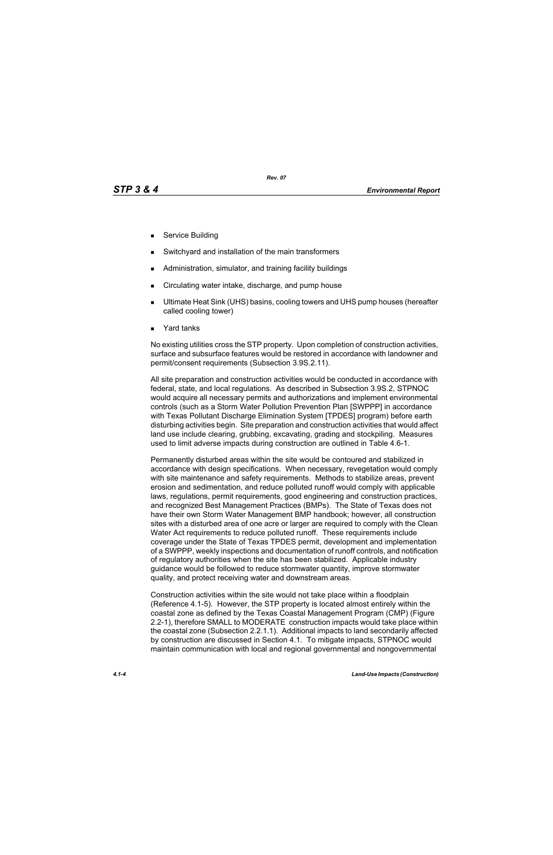- Service Building
- Switchyard and installation of the main transformers
- Administration, simulator, and training facility buildings
- Circulating water intake, discharge, and pump house
- Ultimate Heat Sink (UHS) basins, cooling towers and UHS pump houses (hereafter called cooling tower)
- Yard tanks

No existing utilities cross the STP property. Upon completion of construction activities, surface and subsurface features would be restored in accordance with landowner and permit/consent requirements (Subsection 3.9S.2.11).

All site preparation and construction activities would be conducted in accordance with federal, state, and local regulations. As described in Subsection 3.9S.2, STPNOC would acquire all necessary permits and authorizations and implement environmental controls (such as a Storm Water Pollution Prevention Plan [SWPPP] in accordance with Texas Pollutant Discharge Elimination System [TPDES] program) before earth disturbing activities begin. Site preparation and construction activities that would affect land use include clearing, grubbing, excavating, grading and stockpiling. Measures used to limit adverse impacts during construction are outlined in Table 4.6-1.

Permanently disturbed areas within the site would be contoured and stabilized in accordance with design specifications. When necessary, revegetation would comply with site maintenance and safety requirements. Methods to stabilize areas, prevent erosion and sedimentation, and reduce polluted runoff would comply with applicable laws, regulations, permit requirements, good engineering and construction practices, and recognized Best Management Practices (BMPs). The State of Texas does not have their own Storm Water Management BMP handbook; however, all construction sites with a disturbed area of one acre or larger are required to comply with the Clean Water Act requirements to reduce polluted runoff. These requirements include coverage under the State of Texas TPDES permit, development and implementation of a SWPPP, weekly inspections and documentation of runoff controls, and notification of regulatory authorities when the site has been stabilized. Applicable industry guidance would be followed to reduce stormwater quantity, improve stormwater quality, and protect receiving water and downstream areas.

Construction activities within the site would not take place within a floodplain (Reference 4.1-5). However, the STP property is located almost entirely within the coastal zone as defined by the Texas Coastal Management Program (CMP) (Figure 2.2-1), therefore SMALL to MODERATE construction impacts would take place within the coastal zone (Subsection 2.2.1.1). Additional impacts to land secondarily affected by construction are discussed in Section 4.1. To mitigate impacts, STPNOC would maintain communication with local and regional governmental and nongovernmental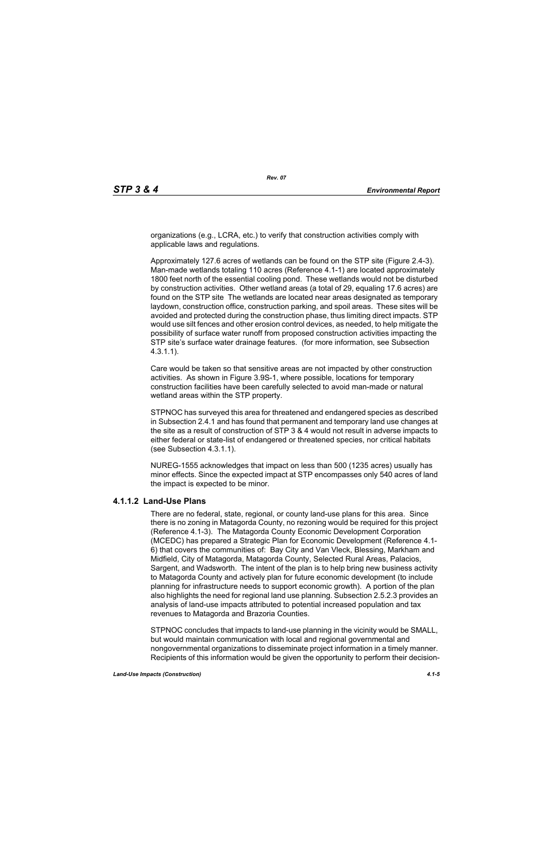organizations (e.g., LCRA, etc.) to verify that construction activities comply with applicable laws and regulations.

Approximately 127.6 acres of wetlands can be found on the STP site (Figure 2.4-3). Man-made wetlands totaling 110 acres (Reference 4.1-1) are located approximately 1800 feet north of the essential cooling pond. These wetlands would not be disturbed by construction activities. Other wetland areas (a total of 29, equaling 17.6 acres) are found on the STP site The wetlands are located near areas designated as temporary laydown, construction office, construction parking, and spoil areas. These sites will be avoided and protected during the construction phase, thus limiting direct impacts. STP would use silt fences and other erosion control devices, as needed, to help mitigate the possibility of surface water runoff from proposed construction activities impacting the STP site's surface water drainage features. (for more information, see Subsection 4.3.1.1).

Care would be taken so that sensitive areas are not impacted by other construction activities. As shown in Figure 3.9S-1, where possible, locations for temporary construction facilities have been carefully selected to avoid man-made or natural wetland areas within the STP property.

STPNOC has surveyed this area for threatened and endangered species as described in Subsection 2.4.1 and has found that permanent and temporary land use changes at the site as a result of construction of STP 3 & 4 would not result in adverse impacts to either federal or state-list of endangered or threatened species, nor critical habitats (see Subsection 4.3.1.1).

NUREG-1555 acknowledges that impact on less than 500 (1235 acres) usually has minor effects. Since the expected impact at STP encompasses only 540 acres of land the impact is expected to be minor.

## **4.1.1.2 Land-Use Plans**

There are no federal, state, regional, or county land-use plans for this area. Since there is no zoning in Matagorda County, no rezoning would be required for this project (Reference 4.1-3). The Matagorda County Economic Development Corporation (MCEDC) has prepared a Strategic Plan for Economic Development (Reference 4.1- 6) that covers the communities of: Bay City and Van Vleck, Blessing, Markham and Midfield, City of Matagorda, Matagorda County, Selected Rural Areas, Palacios, Sargent, and Wadsworth. The intent of the plan is to help bring new business activity to Matagorda County and actively plan for future economic development (to include planning for infrastructure needs to support economic growth). A portion of the plan also highlights the need for regional land use planning. Subsection 2.5.2.3 provides an analysis of land-use impacts attributed to potential increased population and tax revenues to Matagorda and Brazoria Counties.

STPNOC concludes that impacts to land-use planning in the vicinity would be SMALL, but would maintain communication with local and regional governmental and nongovernmental organizations to disseminate project information in a timely manner. Recipients of this information would be given the opportunity to perform their decision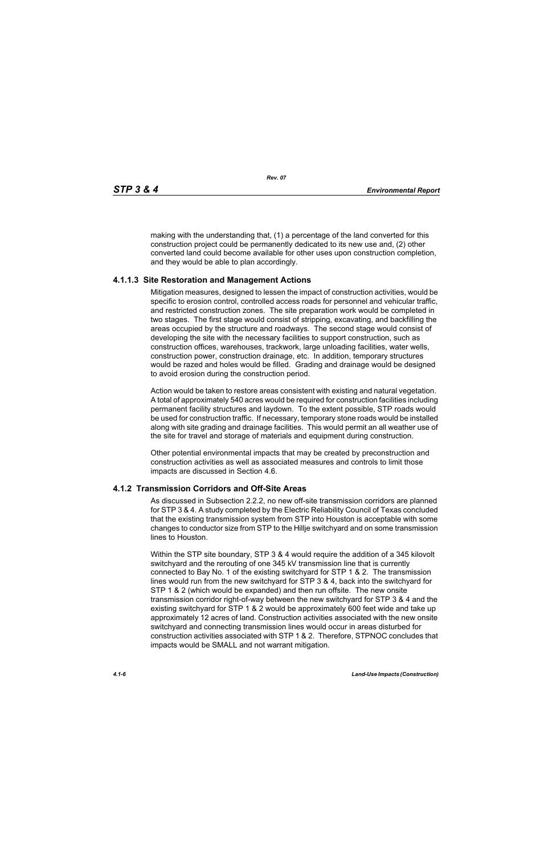making with the understanding that, (1) a percentage of the land converted for this construction project could be permanently dedicated to its new use and, (2) other converted land could become available for other uses upon construction completion, and they would be able to plan accordingly.

#### **4.1.1.3 Site Restoration and Management Actions**

Mitigation measures, designed to lessen the impact of construction activities, would be specific to erosion control, controlled access roads for personnel and vehicular traffic, and restricted construction zones. The site preparation work would be completed in two stages. The first stage would consist of stripping, excavating, and backfilling the areas occupied by the structure and roadways. The second stage would consist of developing the site with the necessary facilities to support construction, such as construction offices, warehouses, trackwork, large unloading facilities, water wells, construction power, construction drainage, etc. In addition, temporary structures would be razed and holes would be filled. Grading and drainage would be designed to avoid erosion during the construction period.

Action would be taken to restore areas consistent with existing and natural vegetation. A total of approximately 540 acres would be required for construction facilities including permanent facility structures and laydown. To the extent possible, STP roads would be used for construction traffic. If necessary, temporary stone roads would be installed along with site grading and drainage facilities. This would permit an all weather use of the site for travel and storage of materials and equipment during construction.

Other potential environmental impacts that may be created by preconstruction and construction activities as well as associated measures and controls to limit those impacts are discussed in Section 4.6.

#### **4.1.2 Transmission Corridors and Off-Site Areas**

As discussed in Subsection 2.2.2, no new off-site transmission corridors are planned for STP 3 & 4. A study completed by the Electric Reliability Council of Texas concluded that the existing transmission system from STP into Houston is acceptable with some changes to conductor size from STP to the Hillje switchyard and on some transmission lines to Houston.

Within the STP site boundary, STP 3 & 4 would require the addition of a 345 kilovolt switchyard and the rerouting of one 345 kV transmission line that is currently connected to Bay No. 1 of the existing switchyard for STP 1 & 2. The transmission lines would run from the new switchyard for STP 3 & 4, back into the switchyard for STP 1 & 2 (which would be expanded) and then run offsite. The new onsite transmission corridor right-of-way between the new switchyard for STP 3 & 4 and the existing switchyard for STP 1 & 2 would be approximately 600 feet wide and take up approximately 12 acres of land. Construction activities associated with the new onsite switchyard and connecting transmission lines would occur in areas disturbed for construction activities associated with STP 1 & 2. Therefore, STPNOC concludes that impacts would be SMALL and not warrant mitigation.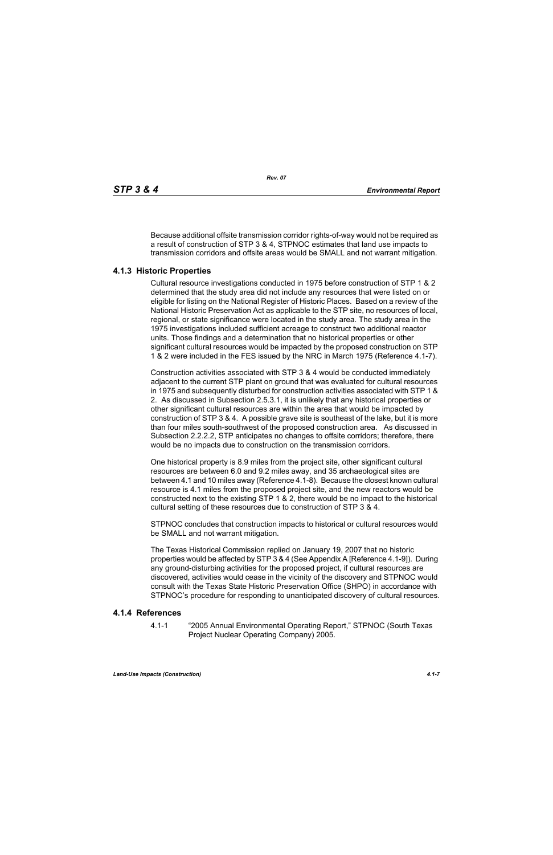Because additional offsite transmission corridor rights-of-way would not be required as a result of construction of STP 3 & 4, STPNOC estimates that land use impacts to transmission corridors and offsite areas would be SMALL and not warrant mitigation.

## **4.1.3 Historic Properties**

Cultural resource investigations conducted in 1975 before construction of STP 1 & 2 determined that the study area did not include any resources that were listed on or eligible for listing on the National Register of Historic Places. Based on a review of the National Historic Preservation Act as applicable to the STP site, no resources of local, regional, or state significance were located in the study area. The study area in the 1975 investigations included sufficient acreage to construct two additional reactor units. Those findings and a determination that no historical properties or other significant cultural resources would be impacted by the proposed construction on STP 1 & 2 were included in the FES issued by the NRC in March 1975 (Reference 4.1-7).

Construction activities associated with STP 3 & 4 would be conducted immediately adjacent to the current STP plant on ground that was evaluated for cultural resources in 1975 and subsequently disturbed for construction activities associated with STP 1 & 2. As discussed in Subsection 2.5.3.1, it is unlikely that any historical properties or other significant cultural resources are within the area that would be impacted by construction of STP 3 & 4. A possible grave site is southeast of the lake, but it is more than four miles south-southwest of the proposed construction area. As discussed in Subsection 2.2.2.2, STP anticipates no changes to offsite corridors; therefore, there would be no impacts due to construction on the transmission corridors.

One historical property is 8.9 miles from the project site, other significant cultural resources are between 6.0 and 9.2 miles away, and 35 archaeological sites are between 4.1 and 10 miles away (Reference 4.1-8). Because the closest known cultural resource is 4.1 miles from the proposed project site, and the new reactors would be constructed next to the existing STP 1 & 2, there would be no impact to the historical cultural setting of these resources due to construction of STP 3 & 4.

STPNOC concludes that construction impacts to historical or cultural resources would be SMALL and not warrant mitigation.

The Texas Historical Commission replied on January 19, 2007 that no historic properties would be affected by STP 3 & 4 (See Appendix A [Reference 4.1-9]). During any ground-disturbing activities for the proposed project, if cultural resources are discovered, activities would cease in the vicinity of the discovery and STPNOC would consult with the Texas State Historic Preservation Office (SHPO) in accordance with STPNOC's procedure for responding to unanticipated discovery of cultural resources.

## **4.1.4 References**

4.1-1 "2005 Annual Environmental Operating Report," STPNOC (South Texas Project Nuclear Operating Company) 2005.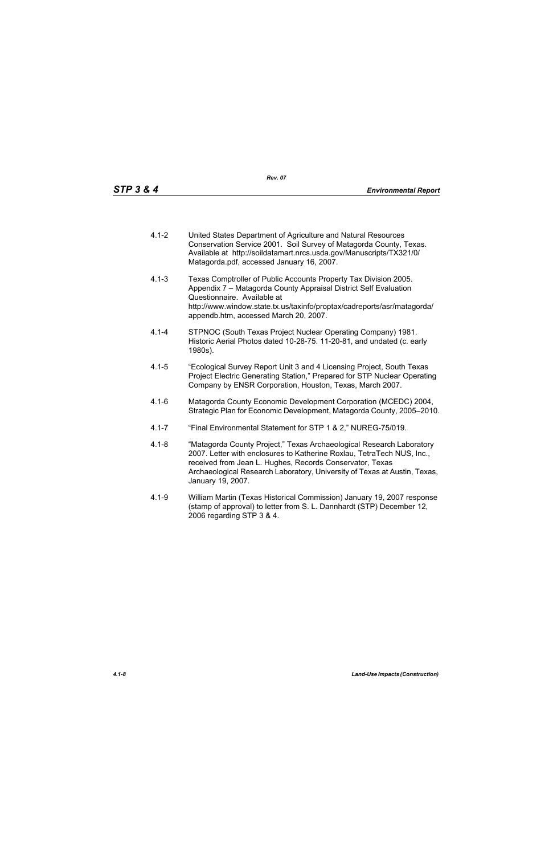- 4.1-2 United States Department of Agriculture and Natural Resources Conservation Service 2001. Soil Survey of Matagorda County, Texas. Available at http://soildatamart.nrcs.usda.gov/Manuscripts/TX321/0/ Matagorda.pdf, accessed January 16, 2007.
- 4.1-3 Texas Comptroller of Public Accounts Property Tax Division 2005. Appendix 7 – Matagorda County Appraisal District Self Evaluation Questionnaire. Available at http://www.window.state.tx.us/taxinfo/proptax/cadreports/asr/matagorda/ appendb.htm, accessed March 20, 2007.
- 4.1-4 STPNOC (South Texas Project Nuclear Operating Company) 1981. Historic Aerial Photos dated 10-28-75. 11-20-81, and undated (c. early 1980s).
- 4.1-5 "Ecological Survey Report Unit 3 and 4 Licensing Project, South Texas Project Electric Generating Station," Prepared for STP Nuclear Operating Company by ENSR Corporation, Houston, Texas, March 2007.
- 4.1-6 Matagorda County Economic Development Corporation (MCEDC) 2004, Strategic Plan for Economic Development, Matagorda County, 2005–2010.
- 4.1-7 "Final Environmental Statement for STP 1 & 2," NUREG-75/019.
- 4.1-8 "Matagorda County Project," Texas Archaeological Research Laboratory 2007. Letter with enclosures to Katherine Roxlau, TetraTech NUS, Inc., received from Jean L. Hughes, Records Conservator, Texas Archaeological Research Laboratory, University of Texas at Austin, Texas, January 19, 2007.
- 4.1-9 William Martin (Texas Historical Commission) January 19, 2007 response (stamp of approval) to letter from S. L. Dannhardt (STP) December 12, 2006 regarding STP 3 & 4.